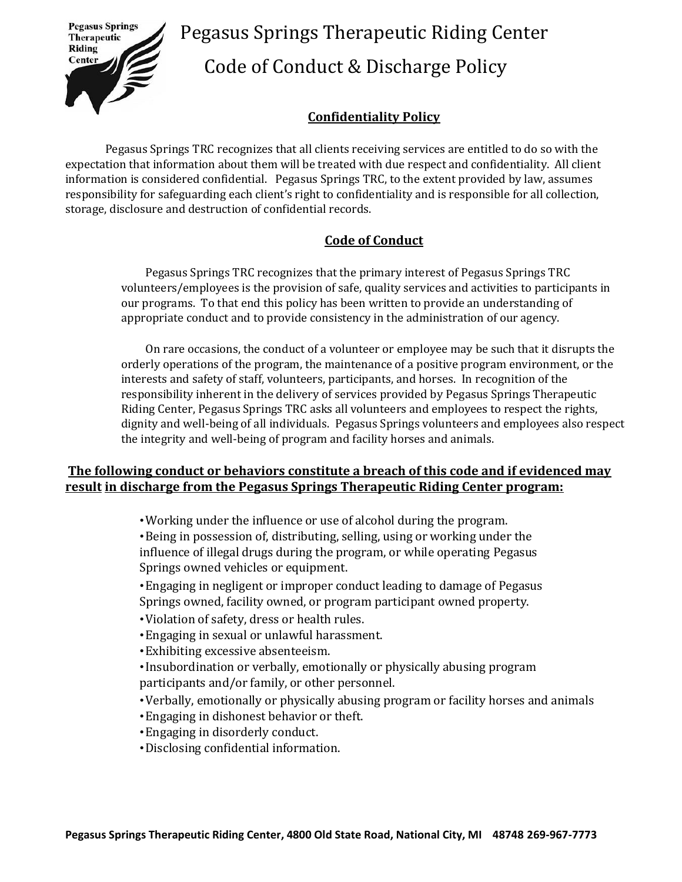

 Pegasus Springs Therapeutic Riding Center Code of Conduct & Discharge Policy

## **Confidentiality Policy**

Pegasus Springs TRC recognizes that all clients receiving services are entitled to do so with the expectation that information about them will be treated with due respect and confidentiality. All client information is considered confidential. Pegasus Springs TRC, to the extent provided by law, assumes responsibility for safeguarding each client's right to confidentiality and is responsible for all collection, storage, disclosure and destruction of confidential records.

## **Code of Conduct**

Pegasus Springs TRC recognizes that the primary interest of Pegasus Springs TRC volunteers/employees is the provision of safe, quality services and activities to participants in our programs. To that end this policy has been written to provide an understanding of appropriate conduct and to provide consistency in the administration of our agency.

On rare occasions, the conduct of a volunteer or employee may be such that it disrupts the orderly operations of the program, the maintenance of a positive program environment, or the interests and safety of staff, volunteers, participants, and horses. In recognition of the responsibility inherent in the delivery of services provided by Pegasus Springs Therapeutic Riding Center, Pegasus Springs TRC asks all volunteers and employees to respect the rights, dignity and well-being of all individuals. Pegasus Springs volunteers and employees also respect the integrity and well-being of program and facility horses and animals.

## **The following conduct or behaviors constitute a breach of this code and if evidenced may result in discharge from the Pegasus Springs Therapeutic Riding Center program:**

•Working under the influence or use of alcohol during the program.

•Being in possession of, distributing, selling, using or working under the influence of illegal drugs during the program, or while operating Pegasus Springs owned vehicles or equipment.

•Engaging in negligent or improper conduct leading to damage of Pegasus Springs owned, facility owned, or program participant owned property.

- •Violation of safety, dress or health rules.
- •Engaging in sexual or unlawful harassment.
- •Exhibiting excessive absenteeism.
- •Insubordination or verbally, emotionally or physically abusing program participants and/or family, or other personnel.
- •Verbally, emotionally or physically abusing program or facility horses and animals
- •Engaging in dishonest behavior or theft.
- •Engaging in disorderly conduct.
- •Disclosing confidential information.